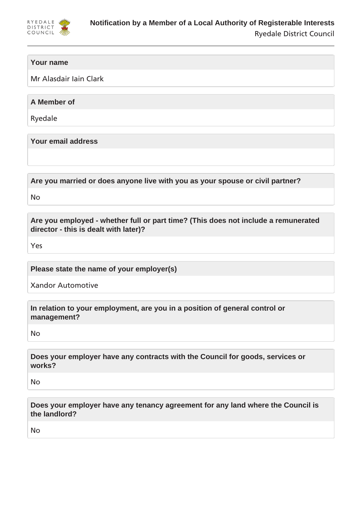

# **Your name**

Mr Alasdair Iain Clark

**A Member of**

Ryedale

**Your email address**

**Are you married or does anyone live with you as your spouse or civil partner?**

No

**Are you employed - whether full or part time? (This does not include a remunerated director - this is dealt with later)?**

Yes

**Please state the name of your employer(s)**

Xandor Automotive

**In relation to your employment, are you in a position of general control or management?**

No

**Does your employer have any contracts with the Council for goods, services or works?**

No

**Does your employer have any tenancy agreement for any land where the Council is the landlord?**

No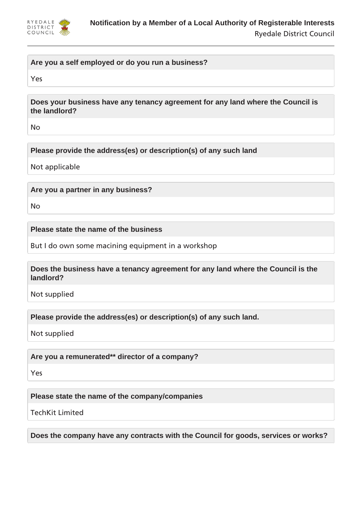

# **Are you a self employed or do you run a business?**

Yes

**Does your business have any tenancy agreement for any land where the Council is the landlord?**

No

**Please provide the address(es) or description(s) of any such land**

Not applicable

**Are you a partner in any business?**

No

**Please state the name of the business**

But I do own some macining equipment in a workshop

**Does the business have a tenancy agreement for any land where the Council is the landlord?**

Not supplied

**Please provide the address(es) or description(s) of any such land.**

Not supplied

**Are you a remunerated\*\* director of a company?**

Yes

**Please state the name of the company/companies**

TechKit Limited

**Does the company have any contracts with the Council for goods, services or works?**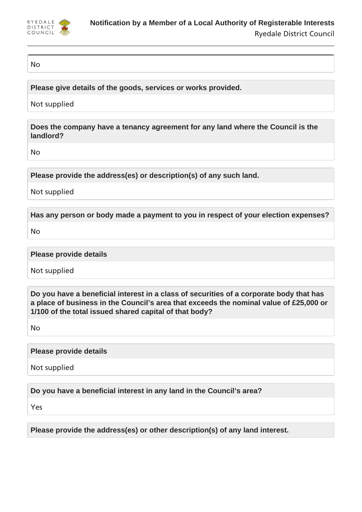

### No

**Please give details of the goods, services or works provided.**

Not supplied

**Does the company have a tenancy agreement for any land where the Council is the landlord?**

No

**Please provide the address(es) or description(s) of any such land.**

Not supplied

**Has any person or body made a payment to you in respect of your election expenses?**

No

**Please provide details**

Not supplied

**Do you have a beneficial interest in a class of securities of a corporate body that has a place of business in the Council's area that exceeds the nominal value of £25,000 or 1/100 of the total issued shared capital of that body?**

No

**Please provide details**

Not supplied

**Do you have a beneficial interest in any land in the Council's area?**

Yes

**Please provide the address(es) or other description(s) of any land interest.**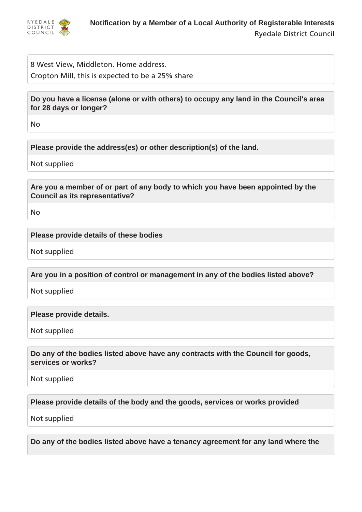

8 West View, Middleton. Home address. Cropton Mill, this is expected to be a 25% share

**Do you have a license (alone or with others) to occupy any land in the Council's area for 28 days or longer?**

No

**Please provide the address(es) or other description(s) of the land.**

Not supplied

**Are you a member of or part of any body to which you have been appointed by the Council as its representative?**

No

# **Please provide details of these bodies**

Not supplied

**Are you in a position of control or management in any of the bodies listed above?**

Not supplied

**Please provide details.**

Not supplied

**Do any of the bodies listed above have any contracts with the Council for goods, services or works?**

Not supplied

**Please provide details of the body and the goods, services or works provided**

Not supplied

**Do any of the bodies listed above have a tenancy agreement for any land where the**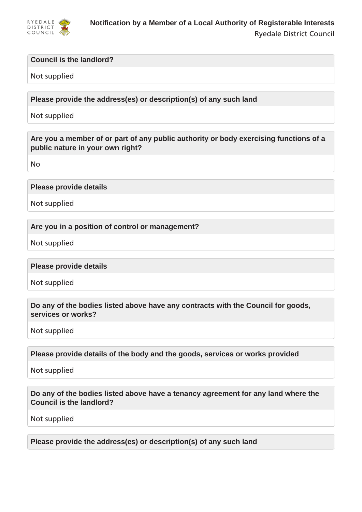

### **Council is the landlord?**

#### Not supplied

**Please provide the address(es) or description(s) of any such land**

Not supplied

**Are you a member of or part of any public authority or body exercising functions of a public nature in your own right?**

No

**Please provide details**

Not supplied

**Are you in a position of control or management?**

Not supplied

**Please provide details**

Not supplied

**Do any of the bodies listed above have any contracts with the Council for goods, services or works?**

Not supplied

**Please provide details of the body and the goods, services or works provided**

Not supplied

**Do any of the bodies listed above have a tenancy agreement for any land where the Council is the landlord?**

Not supplied

**Please provide the address(es) or description(s) of any such land**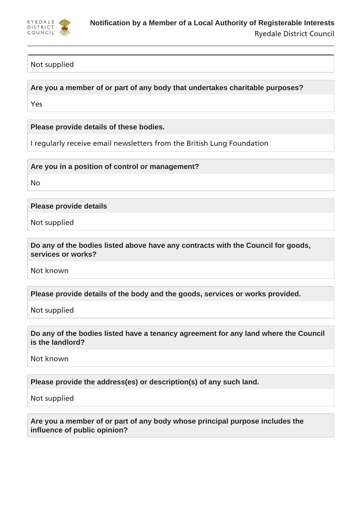

# Not supplied

**Are you a member of or part of any body that undertakes charitable purposes?**

Yes

**Please provide details of these bodies.**

I regularly receive email newsletters from the British Lung Foundation

**Are you in a position of control or management?**

No

**Please provide details**

Not supplied

**Do any of the bodies listed above have any contracts with the Council for goods, services or works?**

Not known

**Please provide details of the body and the goods, services or works provided.**

Not supplied

**Do any of the bodies listed have a tenancy agreement for any land where the Council is the landlord?**

Not known

**Please provide the address(es) or description(s) of any such land.**

Not supplied

**Are you a member of or part of any body whose principal purpose includes the influence of public opinion?**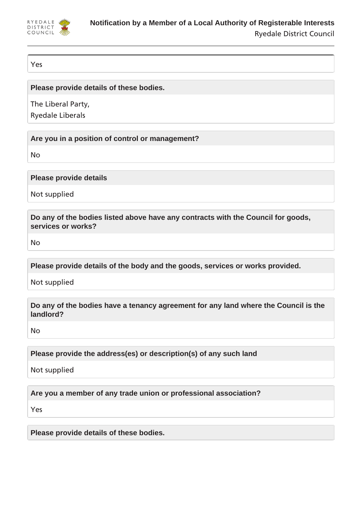

Yes

**Please provide details of these bodies.**

The Liberal Party,

Ryedale Liberals

**Are you in a position of control or management?**

No

**Please provide details**

Not supplied

**Do any of the bodies listed above have any contracts with the Council for goods, services or works?**

No

**Please provide details of the body and the goods, services or works provided.**

Not supplied

**Do any of the bodies have a tenancy agreement for any land where the Council is the landlord?**

No

**Please provide the address(es) or description(s) of any such land**

Not supplied

**Are you a member of any trade union or professional association?**

Yes

**Please provide details of these bodies.**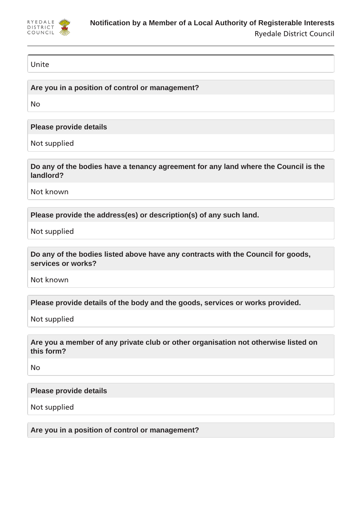

## Unite

**Are you in a position of control or management?**

No

**Please provide details**

Not supplied

**Do any of the bodies have a tenancy agreement for any land where the Council is the landlord?**

Not known

**Please provide the address(es) or description(s) of any such land.**

Not supplied

**Do any of the bodies listed above have any contracts with the Council for goods, services or works?**

Not known

**Please provide details of the body and the goods, services or works provided.**

Not supplied

**Are you a member of any private club or other organisation not otherwise listed on this form?**

No

**Please provide details**

Not supplied

**Are you in a position of control or management?**